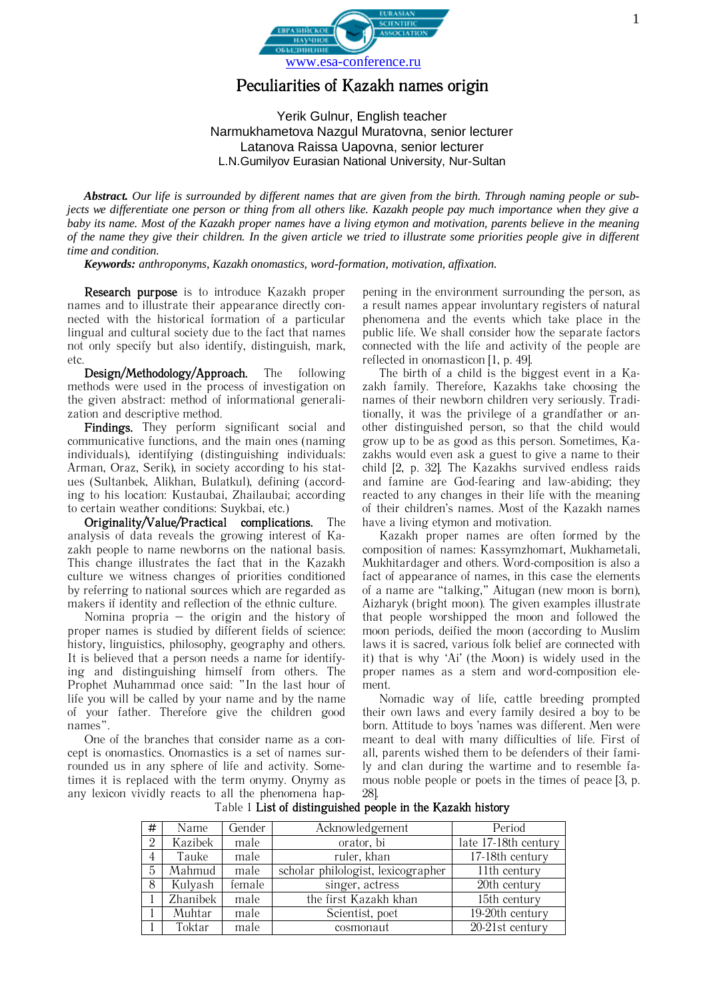

## Peculiarities of Kazakh names origin

Yerik Gulnur, English teacher Narmukhametova Nazgul Muratovna, senior lecturer Latanova Raissa Uapovna, senior lecturer L.N.Gumilyov Eurasian National University, Nur-Sultan

*Abstract. Our life is surrounded by different names that are given from the birth. Through naming people or subjects we differentiate one person or thing from all others like. Kazakh people pay much importance when they give a baby its name. Most of the Kazakh proper names have a living etymon and motivation, parents believe in the meaning of the name they give their children. In the given article we tried to illustrate some priorities people give in different time and condition.*

*Keywords: anthroponyms, Kazakh onomastics, word-formation, motivation, affixation.*

Research purpose is to introduce Kazakh proper names and to illustrate their appearance directly connected with the historical formation of a particular lingual and cultural society due to the fact that names not only specify but also identify, distinguish, mark, etc.

Design/Methodology/Approach. The following methods were used in the process of investigation on the given abstract: method of informational generalization and descriptive method.

Findings. They perform significant social and communicative functions, and the main ones (naming individuals), identifying (distinguishing individuals: Arman, Oraz, Serik), in society according to his statues (Sultanbek, Alikhan, Bulatkul), defining (according to his location: Kustaubai, Zhailaubai; according to certain weather conditions: Suykbai, etc.)

Originality/Value/Practical complications. The analysis of data reveals the growing interest of Kazakh people to name newborns on the national basis. This change illustrates the fact that in the Kazakh culture we witness changes of priorities conditioned by referring to national sources which are regarded as makers if identity and reflection of the ethnic culture.

Nomina propria  $-$  the origin and the history of proper names is studied by different fields of science: history, linguistics, philosophy, geography and others. It is believed that a person needs a name for identifying and distinguishing himself from others. The Prophet Muhammad once said: "In the last hour of life you will be called by your name and by the name of your father. Therefore give the children good names".

One of the branches that consider name as a concept is onomastics. Onomastics is a set of names surrounded us in any sphere of life and activity. Sometimes it is replaced with the term onymy. Onymy as any lexicon vividly reacts to all the phenomena happening in the environment surrounding the person, as a result names appear involuntary registers of natural phenomena and the events which take place in the public life. We shall consider how the separate factors connected with the life and activity of the people are reflected in onomasticon [1, p. 49].

The birth of a child is the biggest event in a Kazakh family. Therefore, Kazakhs take choosing the names of their newborn children very seriously. Traditionally, it was the privilege of a grandfather or another distinguished person, so that the child would grow up to be as good as this person. Sometimes, Kazakhs would even ask a guest to give a name to their child [2, p. 32]. The Kazakhs survived endless raids and famine are God-fearing and law-abiding; they reacted to any changes in their life with the meaning of their children's names. Most of the Kazakh names have a living etymon and motivation.

Kazakh proper names are often formed by the composition of names: Kassymzhomart, Mukhametali, Mukhitardager and others. Word-composition is also a fact of appearance of names, in this case the elements of a name are "talking," Aitugan (new moon is born), Aizharyk (bright moon). The given examples illustrate that people worshipped the moon and followed the moon periods, deified the moon (according to Muslim laws it is sacred, various folk belief are connected with it) that is why 'Ai' (the Moon) is widely used in the proper names as a stem and word-composition element.

Nomadic way of life, cattle breeding prompted their own laws and every family desired a boy to be born. Attitude to boys 'names was different. Men were meant to deal with many difficulties of life. First of all, parents wished them to be defenders of their family and clan during the wartime and to resemble famous noble people or poets in the times of peace [3, p. 28].

| #              | Name     | Gender | Acknowledgement                    | Period               |
|----------------|----------|--------|------------------------------------|----------------------|
| $\overline{2}$ | Kazibek  | male   | orator, bi                         | late 17-18th century |
| 4              | Tauke    | male   | ruler, khan                        | 17-18th century      |
| 5              | Mahmud   | male   | scholar philologist, lexicographer | 11th century         |
| 8              | Kulyash  | female | singer, actress                    | 20th century         |
|                | Zhanibek | male   | the first Kazakh khan              | 15th century         |
|                | Muhtar   | male   | Scientist, poet                    | 19-20th century      |
|                | Toktar   | male   | cosmonaut                          | 20-21st century      |

Table 1 List of distinguished people in the Kazakh history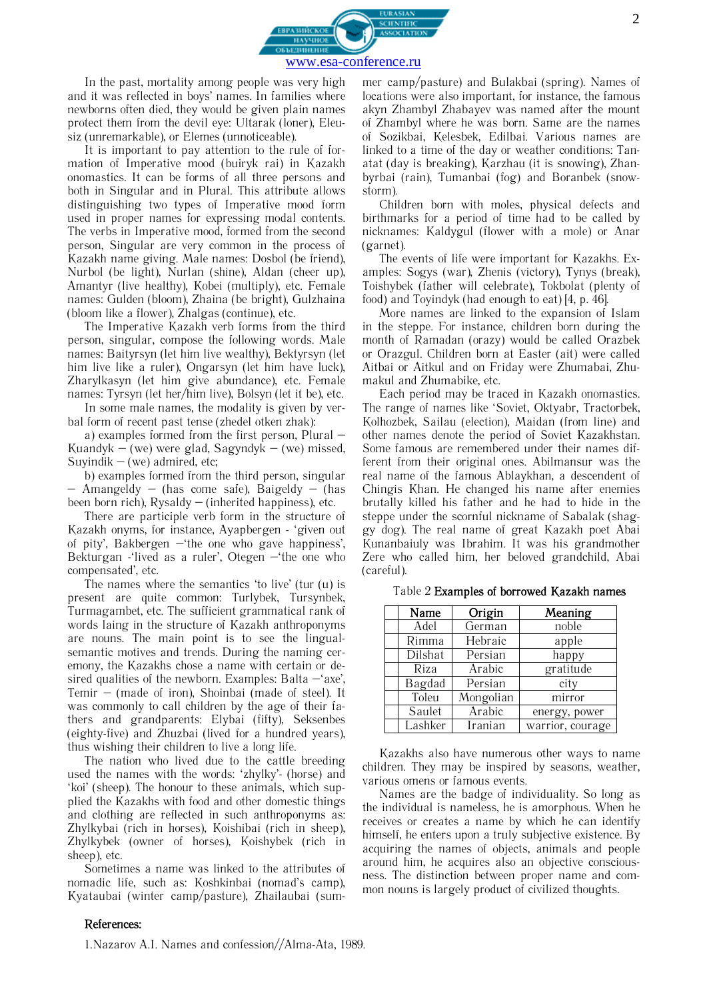

In the past, mortality among people was very high and it was reflected in boys' names. In families where newborns often died, they would be given plain names protect them from the devil eye: Ultarak (loner), Eleusiz (unremarkable), or Elemes (unnoticeable).

It is important to pay attention to the rule of formation of Imperative mood (buiryk rai) in Kazakh onomastics. It can be forms of all three persons and both in Singular and in Plural. This attribute allows distinguishing two types of Imperative mood form used in proper names for expressing modal contents. The verbs in Imperative mood, formed from the second person, Singular are very common in the process of Kazakh name giving. Male names: Dosbol (be friend), Nurbol (be light), Nurlan (shine), Aldan (cheer up), Amantyr (live healthy), Kobei (multiply), etc. Female names: Gulden (bloom), Zhaina (be bright), Gulzhaina (bloom like a flower), Zhalgas (continue), etc.

The Imperative Kazakh verb forms from the third person, singular, compose the following words. Male names: Baityrsyn (let him live wealthy), Bektyrsyn (let him live like a ruler), Ongarsyn (let him have luck), Zharylkasyn (let him give abundance), etc. Female names: Tyrsyn (let her/him live), Bolsyn (let it be), etc.

In some male names, the modality is given by verbal form of recent past tense (zhedel otken zhak):

а) examples formed from the first person, Plural – Kuandyk – (we) were glad, Sagyndyk – (we) missed, Suyindik  $-$  (we) admired, etc;

b) examples formed from the third person, singular  $-$  Amangeldy  $-$  (has come safe), Baigeldy  $-$  (has been born rich),  $Rysaldy - (inherited happings)$ , etc.

There are participle verb form in the structure of Kazakh onyms, for instance, Ayapbergen - 'given out of pity', Bakbergen –'the one who gave happiness', Bekturgan -'lived as a ruler', Otegen –'the one who compensated', etc.

The names where the semantics 'to live' (tur (u) is present are quite common: Turlybek, Tursynbek, Turmagambet, etc. The sufficient grammatical rank of words laing in the structure of Kazakh anthroponyms are nouns. The main point is to see the lingualsemantic motives and trends. During the naming ceremony, the Kazakhs chose a name with certain or desired qualities of the newborn. Examples: Balta  $-$ 'axe', Temir – (made of iron), Shoinbai (made of steel). It was commonly to call children by the age of their fathers and grandparents: Elybai (fifty), Seksenbes (eighty-five) and Zhuzbai (lived for a hundred years), thus wishing their children to live a long life.

The nation who lived due to the cattle breeding used the names with the words: 'zhylky'- (horse) and 'koi' (sheep). The honour to these animals, which supplied the Kazakhs with food and other domestic things and clothing are reflected in such anthroponyms as: Zhylkybai (rich in horses), Koishibai (rich in sheep), Zhylkybek (owner of horses), Koishybek (rich in sheep), etc.

Sometimes a name was linked to the attributes of nomadic life, such as: Koshkinbai (nomad's camp), Kyataubai (winter camp/pasture), Zhailaubai (summer camp/pasture) and Bulakbai (spring). Names of locations were also important, for instance, the famous akyn Zhambyl Zhabayev was named after the mount of Zhambyl where he was born. Same are the names of Sozikbai, Kelesbek, Edilbai. Various names are linked to a time of the day or weather conditions: Tanatat (day is breaking), Karzhau (it is snowing), Zhanbyrbai (rain), Tumanbai (fog) and Boranbek (snowstorm).

Children born with moles, physical defects and birthmarks for a period of time had to be called by nicknames: Kaldygul (flower with a mole) or Anar (garnet).

The events of life were important for Kazakhs. Examples: Sogys (war), Zhenis (victory), Tynys (break), Toishybek (father will celebrate), Tokbolat (plenty of food) and Toyindyk (had enough to eat) [4, p. 46].

More names are linked to the expansion of Islam in the steppe. For instance, children born during the month of Ramadan (orazy) would be called Orazbek or Orazgul. Children born at Easter (ait) were called Aitbai or Aitkul and on Friday were Zhumabai, Zhumakul and Zhumabike, etc.

Each period may be traced in Kazakh onomastics. The range of names like 'Soviet, Oktyabr, Tractorbek, Kolhozbek, Sailau (election), Maidan (from line) and other names denote the period of Soviet Kazakhstan. Some famous are remembered under their names different from their original ones. Abilmansur was the real name of the famous Ablaykhan, a descendent of Chingis Khan. He changed his name after enemies brutally killed his father and he had to hide in the steppe under the scornful nickname of Sabalak (shaggy dog). The real name of great Kazakh poet Abai Kunanbaiuly was Ibrahim. It was his grandmother Zere who called him, her beloved grandchild, Abai (careful).

| Name    | Origin    | Meaning          |
|---------|-----------|------------------|
| Adel    | German    | noble            |
| Rimma   | Hebraic   | apple            |
| Dilshat | Persian   | happy            |
| Riza    | Arabic    | gratitude        |
| Bagdad  | Persian   | city             |
| Toleu   | Mongolian | mirror           |
| Saulet  | Arabic    | energy, power    |
| Lashker | Iranian   | warrior, courage |

Table 2 Examples of borrowed Kazakh names

Kazakhs also have numerous other ways to name children. They may be inspired by seasons, weather, various omens or famous events.

Names are the badge of individuality. So long as the individual is nameless, he is amorphous. When he receives or creates a name by which he can identify himself, he enters upon a truly subjective existence. By acquiring the names of objects, animals and people around him, he acquires also an objective consciousness. The distinction between proper name and common nouns is largely product of civilized thoughts.

2

1.Nazarov A.I. Names and confession//Alma-Ata, 1989.